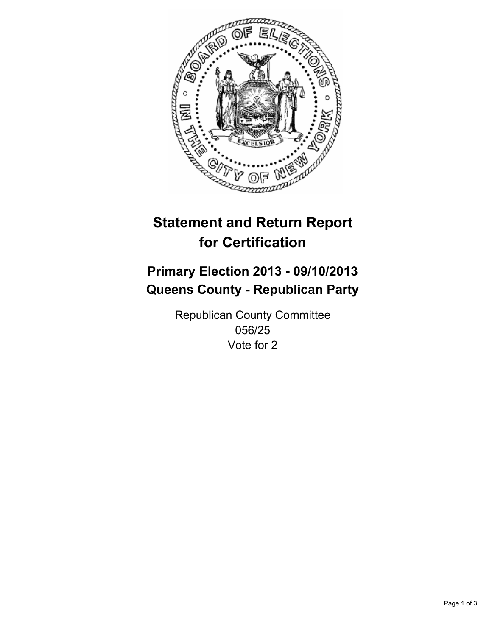

# **Statement and Return Report for Certification**

# **Primary Election 2013 - 09/10/2013 Queens County - Republican Party**

Republican County Committee 056/25 Vote for 2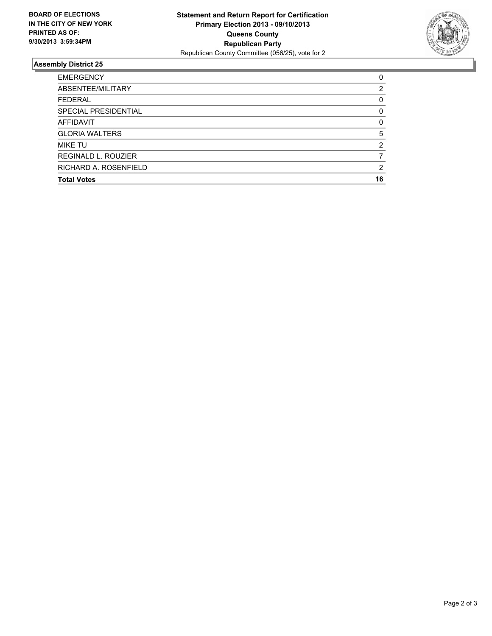

## **Assembly District 25**

| <b>EMERGENCY</b>           | 0        |
|----------------------------|----------|
| ABSENTEE/MILITARY          | 2        |
| <b>FEDERAL</b>             | 0        |
| SPECIAL PRESIDENTIAL       | 0        |
| AFFIDAVIT                  | $\Omega$ |
| <b>GLORIA WALTERS</b>      | 5        |
| <b>MIKE TU</b>             | 2        |
| <b>REGINALD L. ROUZIER</b> |          |
| RICHARD A. ROSENFIELD      | 2        |
| <b>Total Votes</b>         | 16       |
|                            |          |